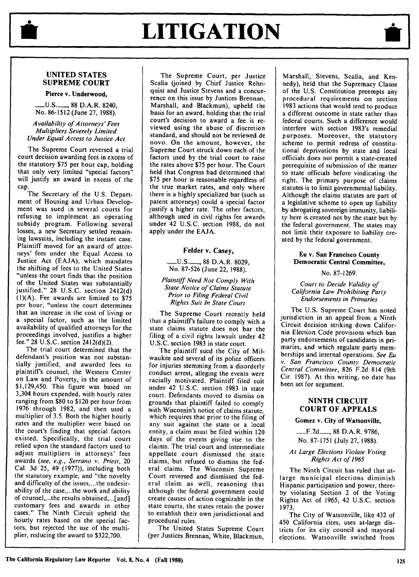# **LITIGATION**

# **UNITED STATES SUPREME COURT**

**Pierce v. Underwood,**

**\_\_\_U.S.\_** 88 D.A.R. 8240, No. 86-1512 (June 27, 1988).

#### *Availability of Attorneys' Fees Multipliers Severely Limited Under Equal Access to Justice Act*

The Supreme Court reversed a trial court decision awarding fees in excess of the statutory \$75 per hour cap, holding that only very limited "special factors" will justify an award in excess of the cap.

The Secretary of the U.S. Department of Housing and Urban Development was sued in several courts for refusing to implement an operating subsidy program. Following several losses, a new Secretary settled remaining lawsuits, including the instant case. Plaintiff moved for an award of attorneys' fees under the Equal Access to Justice Act (EAJA), which mandates the shifting of fees to the United States "unless the court finds that the position of the United States was substantially justified." 28 U.S.C. section 2412(d) (1)(A). Fee awards are limited to **\$75** per hour, "unless the court determines that an increase in the cost of living or a special factor, such as the limited availability of qualified attorneys for the proceedings involved, justifies a higher fee." 28 U.S.C. section 2412(d)(2).

The trial court determined that the defendant's position was not substantially justified, and awarded fees to plaintiff's counsel, the Western Center on Law and Poverty, in the amount of \$1,129,450. This figure was based on 3,304 hours expended, with hourly rates ranging from \$80 to \$120 per hour from 1976 through 1982, and then used a multiplier of 3.5. Both the higher hourly rates and the multiplier were based on the court's finding that special factors existed. Specifically, the trial court relied upon the standard factors used to adjust multipliers in attorneys' fees awards *(see, e.g., Serrano v. Priest,* 20 Cal. 3d 25, 49 (1977)), including both the statutory example, and "the novelty and difficulty of the issues,.. .the undesirability of the case,.. .the work and ability of counsel, ... the results obtained,...[and] customary fees and awards in other cases." The Ninth Circuit upheld the hourly rates based on the special factors, but rejected the use of the multiplier, reducing the award to \$322,700.

The Supreme Court, per Justice Scalia (joined by Chief Justice Rehnquist and Justice Stevens and a concurrence on this issue by Justices Brennan, Marshall, and Blackmun), upheld the basis for an award, holding that the trial court's decision to award a fee is reviewed using the abuse of discretion standard, and should not be reviewed de novo. On the amount, however, the Supreme Court struck down each of the factors used by the trial court to raise the rates above \$75 per hour. The Court held that Congress had determined that \$75 per hour is reasonable regardless of the true market rates, and only where there is a highly specialized bar (such as patent attorneys) could a special factor justify a higher rate. The other factors, although used in civil rights fee awards under 42 U.S.C. section 1988, do not apply under the EAJA.

# Felder v. Casey,

**-\_U.S.-,** 88 D.A.R. 8029, No. 87-526 (June 22, 1988).

*Plaintiff Need Not Comply With State Notice of Claims Statute Prior to Filing Federal Civil Rights Suit In State Court*

The Supreme Court recently held that a plaintiffs failure to comply with a state claims statute does not bar the filing of a civil rights lawsuit under 42 U.S.C. section 1983 in state court.

The plaintiff sued the City of Milwaukee and several of its police officers for injuries stemming from a disorderly conduct arrest, alleging the events were racially motivated. Plaintiff filed suit under 42 U.S.C. section 1983 in state court. Defendants moved to dismiss on grounds that plaintiff failed to comply with Wisconsin's notice of claims statute, which requires that prior to the filing of any suit against the state or a local entity, a claim must be filed within 120 days of the events giving rise to the claims. The trial court and intermediate appellate court dismissed the state claims, but refused to dismiss the federal claims. The Wisconsin Supreme Court reversed and dismissed the federal claim as well, reasoning that although the federal government could create causes of action cognizable in the state courts, the states retain the power to establish their own jurisdictional and procedural rules.

The United States Supreme Court (per Justices Brennan, White, Blackmun,

Marshall, Stevens, Scalia, and Kennedy), held that the Supremacy Clause of the U.S. Constitution preempts any procedural requirements on section 1983 actions that would tend to produce a different outcome in state rather than federal courts. Such a difference would interfere with section 1983's remedial purposes. Moreover, the statutory scheme to permit redress of constitutional deprivations by state and local officials does not permit a state-created prerequisite of submission of the matter to state officials before vindicating the right. The primary purpose of claims statutes is to limit governmental liability. Although the claims statutes are part of a legislative scheme to open up liability by abrogating sovereign immunity, liability here is created not by the state but by the federal government. The states may not limit their exposure to liability created by the federal government.

#### Eu v. San Francisco County **Democratic Central Committee,**

No. 87-1269.

*Court to Decide Validity of California Law Prohibiting Party Endorsements in Primaries*

The U.S. Supreme Court has noted jurisdiction in an appeal from a Ninth Circuit decision striking down California Election Code provisions which ban party endorsements of candidates in primaries, and which regulate party memberships and internal operations. *See Eu v. San Francisco County Democratic Central Committee,* 826 F.2d 814 (9th Cir. 1987). At this writing, no date has been set for argument.

## **NINTH CIRCUIT COURT OF APPEALS**

#### **Gomez v. City of Watsonville,**

**.. F.2d\_\_\_\_,** 88 D.A.R. 9786, No. 87-1751 (July 27, 1988).

*At Large Elections Violate Voting Rights Act of 1965*

The Ninth Circuit has ruled that atlarge municipal elections diminish Hispanic participation and power, thereby violating Section 2 of the Voting Rights Act of 1965, 42 U.S.C. section 1973.

The City of Watsonville, like 432 of 450 California cites, uses at-large districts for its city council and mayoral elections. Watsonville switched from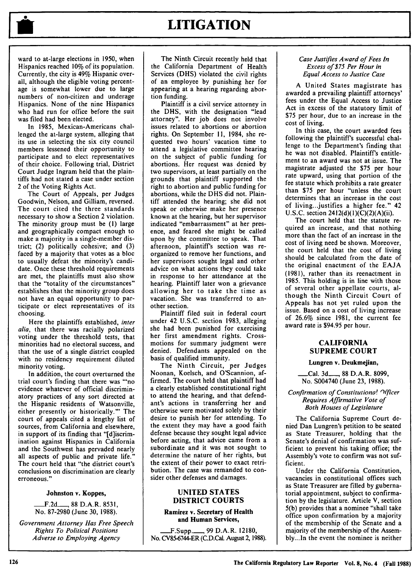

ward to at-large elections in 1950, when Hispanics reached 10% of its population. Currently, the city is 49% Hispanic overall, although the eligible voting percentage is somewhat lower due to large numbers of non-citizen and underage Hispanics. None of the nine Hispanics who had run for office before the suit was filed had been elected.

In 1985, Mexican-Americans challenged the at-large system, alleging that its use in selecting the six city council members lessened their opportunity to participate and to elect representatives of their choice. Following trial, District Court Judge Ingram held that the plaintiffs had not stated a case under section 2 of the Voting Rights Act.

The Court of Appeals, per Judges Goodwin, Nelson, and Gilliam, reversed. The court cited the three standards necessary to show a Section 2 violation. The minority group must be **(1)** large and geographically compact enough to make a majority in a single-member district; (2) politically cohesive; and (3) faced by a majority that votes as a bloc to usually defeat the minority's candidate. Once these threshold requirements are met, the plaintiffs must also show that the "totality of the circumstances" establishes that the minority group does not have an equal opportunity to participate or elect representatives of its choosing.

Here the plaintiffs established, *inter alia,* that there was racially polarized voting under the threshold tests, that minorities had no electoral success, and that the use of a single district coupled with no residency requirement diluted minority voting.

In addition, the court overturned the trial court's finding that there was "no evidence whatever of official discriminatory practices of any sort directed at the Hispanic residents of Watsonville, either presently or historically."' The court of appeals cited a lengthy list of sources, from California and elsewhere, in support of its finding that "[d]iscrimination against Hispanics in California and the Southwest has pervaded nearly all aspects of public and private life." The court held that "the district court's conclusions on discrimination are clearly erroneous."

#### Johnston v. Koppes,

**-F.2d\_\_\_ 88** D.A.R. **8531,** No. 87-2980 (June 30, 1988).

*Government Attorney Has Free Speech Rights To Political Positions Adverse to Employing Agency*

The Ninth Circuit recently held that the California Department of Health Services (DHS) violated the civil rights of an employee by punishing her for appearing at a hearing regarding abortion funding.

Plaintiff is a civil service attorney in the DHS, with the designation "lead attorney". Her job does not involve issues related to abortions or abortion rights. On September 11, 1984, she requested two hours' vacation time to attend a legislative committee hearing on the subject of public funding for abortions. Her request was denied by two supervisors, at least partially on the grounds that plaintiff supported the right to abortion and public funding for abortions, while the DHS did not. Plaintiff attended the hearing; she did not speak or otherwise make her presence known at the hearing, but her supervisor indicated "embarrassment" at her presence, and feared she might be called upon by the committee to speak. That afternoon, plaintiff's section was reorganized to remove her functions, and her supervisors sought legal and other advice on what actions they could take in response to her attendance at the hearing. Plaintiff later won a grievance allowing her to take the time as vacation. She was transferred to another section.

Plaintiff filed suit in federal court under 42 U.S.C. section 1983, alleging she had been punished for exercising her first amendment rights. Crossmotions for summary judgment were denied. Defendants appealed on the basis of qualified immunity.

The Ninth Circuit, per Judges Noonan, Koelsch, and O'Scannion, affirmed. The court held that plaintiff had a clearly established constitutional right to attend the hearing, and that defendant's actions in transferring her and otherwise were motivated solely by their desire to punish her for attending. To the extent they may have a good faith defense because they sought legal advice before acting, that advice came from a subordinate and it was not sought to determine the nature of her rights, but the extent of their power to exact retribution. The case was remanded to consider other defenses and damages.

#### **UNITED STATES** DISTRICT **COURTS**

**Ramirez v. Secretary of Health and Human Services,**

**.. F.Supp.\_...., 99** D.A.R. **12180,** No. CV85-6744-ER (C.D.Cal. August 2, 1988).

#### *Case Justifies Award of Fees In Excess of \$75 Per Hour in Equal Access to Justice Case*

A United States magistrate has awarded a prevailing plaintiff attorneys' fees under the Equal Access to Justice Act in excess of the statutory limit of \$75 per hour, due to an increase in the cost of living.

In this case, the court awarded fees following the plaintiff's successful challenge to the Department's finding that he was not disabled. Plaintiff's entitlement to an award was not at issue. The magistrate adjusted the **\$75** per hour rate upward, using that portion of the fee statute which prohibits a rate greater than \$75 per hour "unless the court determines that an increase in the cost of living...justifies a higher fee." 42 U.S.C. section  $2412(d)(1)(C)(2)(A)(ii)$ .

The court held that the statute required an increase, and that nothing more than the fact of an increase in the cost of living need be shown. Moreover, the court held that the cost of living should be calculated from the date of the original enactment of the EAJA (1981), rather than its reenactment in 1985. This holding is in line with those of several other appellate courts, although the Ninth Circuit Court of Appeals has not yet ruled upon the issue. Based on a cost of living increase of 26.6% since 1981, the current fee award rate is \$94.95 per hour.

### **CALIFORNIA SUPREME COURT**

#### **Lungren v. Deukmejian,**

**.... Cal. 3d\_\_\_ 88** D.A.R. **8099,** No. S004740 (June **23, 1988).**

#### *Confirmation of Constitutiona! Officer Requires Affirmative Vote of Both Houses of Legislature*

The California Supreme Court denied Dan Lungren's petition to be seated as State Treasurer, holding that the Senate's denial of confirmation was sufficient to prevent his taking office; the Assembly's vote to confirm was not sufficient.

Under the California Constitution, vacancies in constitutional offices such as State Treasurer are filled by gubernatorial appointment, subject to confirmation by the legislature. Article V, section 5(b) provides that a nominee "shall take office upon confirmation by a majority of the membership of the Senate and a majority of the membership of the Assembly...In the event the nominee is neither